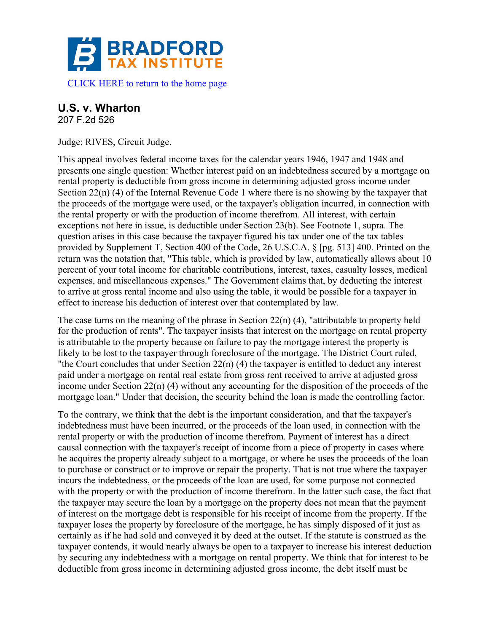

## **U.S. v. Wharton**

207 F.2d 526

Judge: RIVES, Circuit Judge.

This appeal involves federal income taxes for the calendar years 1946, 1947 and 1948 and presents one single question: Whether interest paid on an indebtedness secured by a mortgage on rental property is deductible from gross income in determining adjusted gross income under Section 22(n) (4) of the Internal Revenue Code 1 where there is no showing by the taxpayer that the proceeds of the mortgage were used, or the taxpayer's obligation incurred, in connection with the rental property or with the production of income therefrom. All interest, with certain exceptions not here in issue, is deductible under Section 23(b). See Footnote 1, supra. The question arises in this case because the taxpayer figured his tax under one of the tax tables provided by Supplement T, Section 400 of the Code, 26 U.S.C.A. § [pg. 513] 400. Printed on the return was the notation that, "This table, which is provided by law, automatically allows about 10 percent of your total income for charitable contributions, interest, taxes, casualty losses, medical expenses, and miscellaneous expenses." The Government claims that, by deducting the interest to arrive at gross rental income and also using the table, it would be possible for a taxpayer in effect to increase his deduction of interest over that contemplated by law.

The case turns on the meaning of the phrase in Section 22(n) (4), "attributable to property held for the production of rents". The taxpayer insists that interest on the mortgage on rental property is attributable to the property because on failure to pay the mortgage interest the property is likely to be lost to the taxpayer through foreclosure of the mortgage. The District Court ruled, "the Court concludes that under Section 22(n) (4) the taxpayer is entitled to deduct any interest paid under a mortgage on rental real estate from gross rent received to arrive at adjusted gross income under Section 22(n) (4) without any accounting for the disposition of the proceeds of the mortgage loan." Under that decision, the security behind the loan is made the controlling factor.

To the contrary, we think that the debt is the important consideration, and that the taxpayer's indebtedness must have been incurred, or the proceeds of the loan used, in connection with the rental property or with the production of income therefrom. Payment of interest has a direct causal connection with the taxpayer's receipt of income from a piece of property in cases where he acquires the property already subject to a mortgage, or where he uses the proceeds of the loan to purchase or construct or to improve or repair the property. That is not true where the taxpayer incurs the indebtedness, or the proceeds of the loan are used, for some purpose not connected with the property or with the production of income therefrom. In the latter such case, the fact that the taxpayer may secure the loan by a mortgage on the property does not mean that the payment of interest on the mortgage debt is responsible for his receipt of income from the property. If the taxpayer loses the property by foreclosure of the mortgage, he has simply disposed of it just as certainly as if he had sold and conveyed it by deed at the outset. If the statute is construed as the taxpayer contends, it would nearly always be open to a taxpayer to increase his interest deduction by securing any indebtedness with a mortgage on rental property. We think that for interest to be deductible from gross income in determining adjusted gross income, the debt itself must be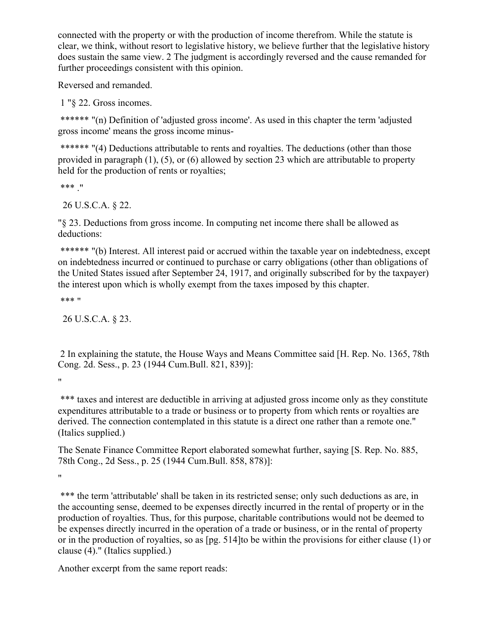connected with the property or with the production of income therefrom. While the statute is clear, we think, without resort to legislative history, we believe further that the legislative history does sustain the same view. 2 The judgment is accordingly reversed and the cause remanded for further proceedings consistent with this opinion.

Reversed and remanded.

1 "§ 22. Gross incomes.

\*\*\*\*\*\* "(n) Definition of 'adjusted gross income'. As used in this chapter the term 'adjusted gross income' means the gross income minus-

\*\*\*\*\*\* "(4) Deductions attributable to rents and royalties. The deductions (other than those provided in paragraph (1), (5), or (6) allowed by section 23 which are attributable to property held for the production of rents or royalties;

\*\*\* ."

26 U.S.C.A. § 22.

"§ 23. Deductions from gross income. In computing net income there shall be allowed as deductions:

\*\*\*\*\*\* "(b) Interest. All interest paid or accrued within the taxable year on indebtedness, except on indebtedness incurred or continued to purchase or carry obligations (other than obligations of the United States issued after September 24, 1917, and originally subscribed for by the taxpayer) the interest upon which is wholly exempt from the taxes imposed by this chapter.

\*\*\* "

26 U.S.C.A. § 23.

2 In explaining the statute, the House Ways and Means Committee said [H. Rep. No. 1365, 78th Cong. 2d. Sess., p. 23 (1944 Cum.Bull. 821, 839)]:

 $\mathbf{u}$ 

\*\*\* taxes and interest are deductible in arriving at adjusted gross income only as they constitute expenditures attributable to a trade or business or to property from which rents or royalties are derived. The connection contemplated in this statute is a direct one rather than a remote one." (Italics supplied.)

The Senate Finance Committee Report elaborated somewhat further, saying [S. Rep. No. 885, 78th Cong., 2d Sess., p. 25 (1944 Cum.Bull. 858, 878)]:

 $\mathbf{u}$ 

\*\*\* the term 'attributable' shall be taken in its restricted sense; only such deductions as are, in the accounting sense, deemed to be expenses directly incurred in the rental of property or in the production of royalties. Thus, for this purpose, charitable contributions would not be deemed to be expenses directly incurred in the operation of a trade or business, or in the rental of property or in the production of royalties, so as [pg. 514]to be within the provisions for either clause (1) or clause (4)." (Italics supplied.)

Another excerpt from the same report reads: